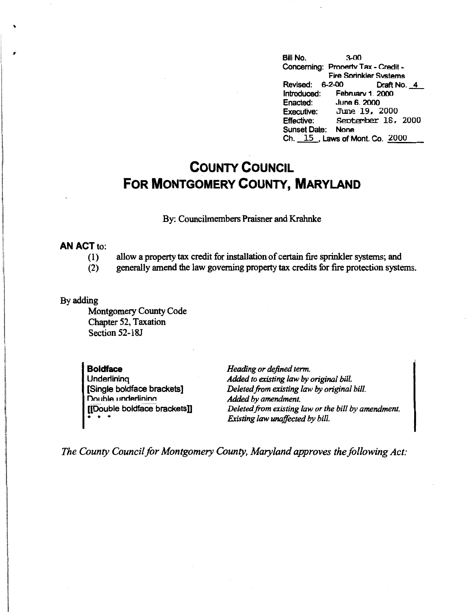Bill No. 3-00 Concerning: Property Tax - Credit -Fire Sorinkler Svstems Revised: 6-2-00 Draft No. 4<br>Introduced: February 1. 2000 Introduced: February 1. 2000<br>Enacted: June 6. 2000 **June 6. 2000** Executive: June 19, 2000<br>Effective: September 18. September 18. 2000 Sunset Date: None Ch. 15, Laws of Mont. Co. 2000

## **COUNTY COUNCIL FOR MONTGOMERY COUNTY, MARYLAND**

By: Councilmembers Praisner and Krahnke

## **AN ACT** to:

,,

like in de staatsmaken van de verken.<br>De staatsmaken van de verken van de verken van de verken van de verken van de verken. international

**International Accountability** 

- (I) allow a property tax credit for installation of certain fire sprinkler systems; and
- (2) generally amend the law governing property tax credits for fire protection systems.

## By adding

Montgomery County Code Chapter 52, Taxation Section 52-ISJ

**Boldface Underlining** (Single boldface brackets] Double underlining [[Double boldface brackets]] \* \* •

*Heading or defined term. Added to existing law by original bill. Deleted.from existing law by original bill. Added by amendment. Deleted.from existing law or the bill by amendment. Existing law unaffected by bill.* 

*The County Council for Montgomery County, Maryland approves the following Act:*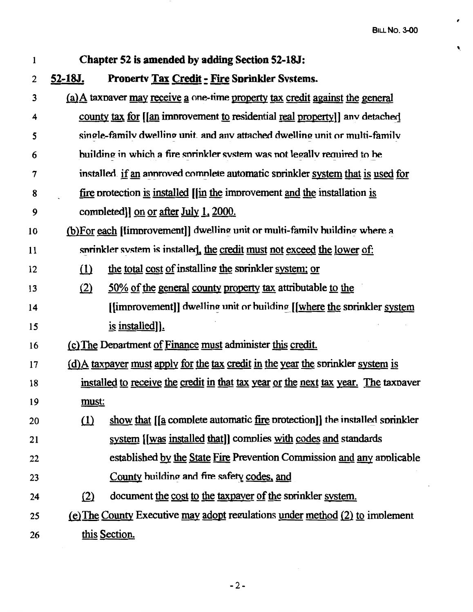,

Ñ

1 **Chapter 52 is amended by adding Section 52-18J:**  2 **52-18J. Prooertv Tax Credit: Fire Sorinkler Svstems.**  3 (a) A taxnaver may receive a one-time property tax credit against the general 4 county tax for [(an imnrovement to residential real property]] anv detachaj 5 **simple-family dwelling unit and any attached dwelling unit or multi-family** 6 building in which a fire snrinkler svstem was not Jega11v reouired to he 7 installed if an annoved complete automatic sprinkler system that is used for 8 fire nrotection is installed [[in the imnrovement and the installation is <sup>9</sup>comnleted]] on or after July L 2000. 10 (b)For each [[improvement]] dwelling unit or multi-family building where a 11 specifier system is installed, the credit must not exceed the lower of: 12 (1) the total cost of installing the sprinkler system; or 13 (2) 50% of the general county property tax attributable to the 14 **I** [[improvement]] dwelling unit or building I [where the sprinkler system 15 is installed i. 16 **16** (c) The Department of Finance must administer this credit. 17 (d)A taxpayer must apply for the tax credit in the year the snrinkler system is 18 installed to receive the credit in that tax year or the next tax year. The taxnaver 19 must: 20 (1) show that  $\left[ \text{a} \text{ complete automatic fire protection} \right]$  the installed sprinkler 21 system [(was installed that]] comnlies with codes and standards 22 established by the State Fire Prevention Commission and any annlicable 23 County building and fire safety codes, and 24 (2) document the cost to the taxpayer of the sprinkler system. 25 (e) The County Executive may adopt regulations under method (2) to implement 26 this Section.